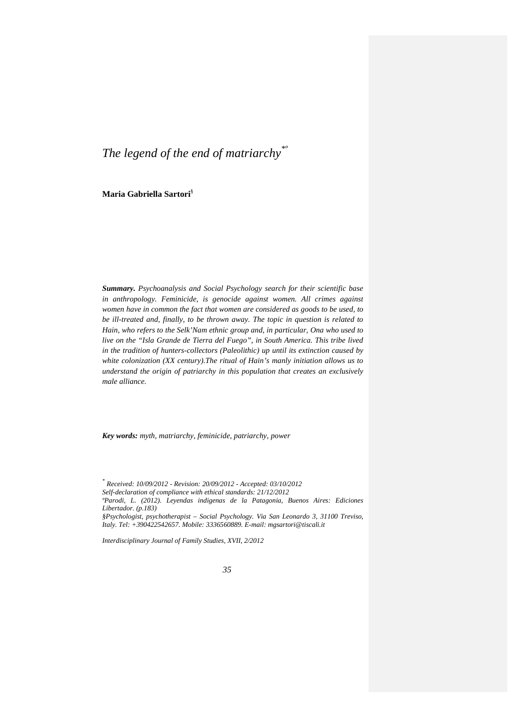# *The legend of the end of matriarchy\*º*

**Maria Gabriella Sartori**§

*Summary. Psychoanalysis and Social Psychology search for their scientific base in anthropology. Feminicide, is genocide against women. All crimes against women have in common the fact that women are considered as goods to be used, to be ill-treated and, finally, to be thrown away. The topic in question is related to Hain, who refers to the Selk'Nam ethnic group and, in particular, Ona who used to live on the "Isla Grande de Tierra del Fuego", in South America. This tribe lived in the tradition of hunters-collectors (Paleolithic) up until its extinction caused by white colonization (XX century).The ritual of Hain's manly initiation allows us to understand the origin of patriarchy in this population that creates an exclusively male alliance.* 

*Key words: myth, matriarchy, feminicide, patriarchy, power*

*ºParodi, L. (2012). Leyendas indigenas de la Patagonia, Buenos Aires: Ediciones Libertador. (p.183)*

*Interdisciplinary Journal of Family Studies, XVII, 2/2012*

*<sup>\*</sup> Received: 10/09/2012 - Revision: 20/09/2012 - Accepted: 03/10/2012* 

*Self-declaration of compliance with ethical standards: 21/12/2012*

*<sup>§</sup>Psychologist, psychotherapist – Social Psychology. Via San Leonardo 3, 31100 Treviso, Italy. Tel: +390422542657. Mobile: 3336560889. E-mail: mgsartori@tiscali.it* 

*<sup>35</sup>*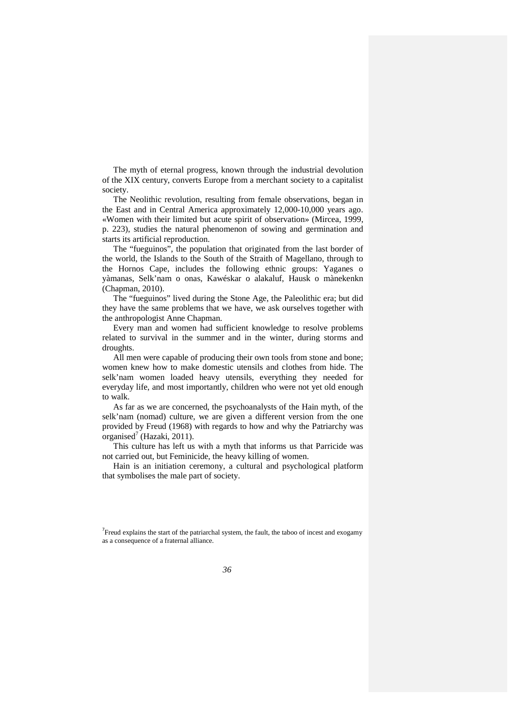The myth of eternal progress, known through the industrial devolution of the XIX century, converts Europe from a merchant society to a capitalist society.

The Neolithic revolution, resulting from female observations, began in the East and in Central America approximately 12,000-10,000 years ago. «Women with their limited but acute spirit of observation» (Mircea, 1999, p. 223), studies the natural phenomenon of sowing and germination and starts its artificial reproduction.

The "fueguinos", the population that originated from the last border of the world, the Islands to the South of the Straith of Magellano, through to the Hornos Cape, includes the following ethnic groups: Yaganes o yàmanas, Selk'nam o onas, Kawéskar o alakaluf, Hausk o mànekenkn (Chapman, 2010).

The "fueguinos" lived during the Stone Age, the Paleolithic era; but did they have the same problems that we have, we ask ourselves together with the anthropologist Anne Chapman.

Every man and women had sufficient knowledge to resolve problems related to survival in the summer and in the winter, during storms and droughts.

All men were capable of producing their own tools from stone and bone; women knew how to make domestic utensils and clothes from hide. The selk'nam women loaded heavy utensils, everything they needed for everyday life, and most importantly, children who were not yet old enough to walk.

As far as we are concerned, the psychoanalysts of the Hain myth, of the selk'nam (nomad) culture, we are given a different version from the one provided by Freud (1968) with regards to how and why the Patriarchy was organised<sup>7</sup> (Hazaki, 2011).

This culture has left us with a myth that informs us that Parricide was not carried out, but Feminicide, the heavy killing of women.

Hain is an initiation ceremony, a cultural and psychological platform that symbolises the male part of society.

 $7$  Freud explains the start of the patriarchal system, the fault, the taboo of incest and exogamy as a consequence of a fraternal alliance.

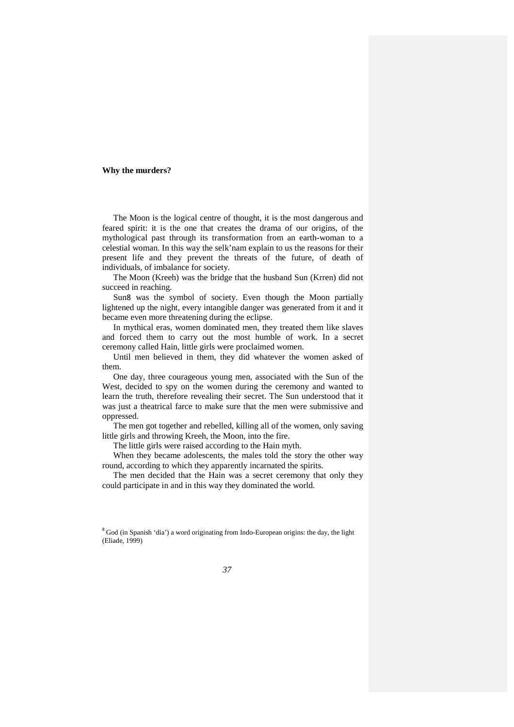## **Why the murders?**

The Moon is the logical centre of thought, it is the most dangerous and feared spirit: it is the one that creates the drama of our origins, of the mythological past through its transformation from an earth-woman to a celestial woman. In this way the selk'nam explain to us the reasons for their present life and they prevent the threats of the future, of death of individuals, of imbalance for society.

The Moon (Kreeh) was the bridge that the husband Sun (Krren) did not succeed in reaching.

Sun8 was the symbol of society. Even though the Moon partially lightened up the night, every intangible danger was generated from it and it became even more threatening during the eclipse.

In mythical eras, women dominated men, they treated them like slaves and forced them to carry out the most humble of work. In a secret ceremony called Hain, little girls were proclaimed women.

Until men believed in them, they did whatever the women asked of them.

One day, three courageous young men, associated with the Sun of the West, decided to spy on the women during the ceremony and wanted to learn the truth, therefore revealing their secret. The Sun understood that it was just a theatrical farce to make sure that the men were submissive and oppressed.

The men got together and rebelled, killing all of the women, only saving little girls and throwing Kreeh, the Moon, into the fire.

The little girls were raised according to the Hain myth.

When they became adolescents, the males told the story the other way round, according to which they apparently incarnated the spirits.

The men decided that the Hain was a secret ceremony that only they could participate in and in this way they dominated the world.

<sup>8</sup> God (in Spanish 'dia') a word originating from Indo-European origins: the day, the light (Eliade, 1999)

*37*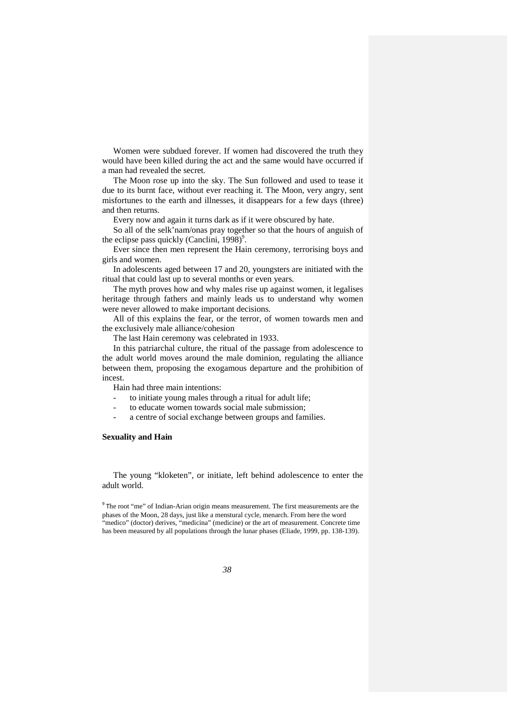Women were subdued forever. If women had discovered the truth they would have been killed during the act and the same would have occurred if a man had revealed the secret.

The Moon rose up into the sky. The Sun followed and used to tease it due to its burnt face, without ever reaching it. The Moon, very angry, sent misfortunes to the earth and illnesses, it disappears for a few days (three) and then returns.

Every now and again it turns dark as if it were obscured by hate.

So all of the selk'nam/onas pray together so that the hours of anguish of the eclipse pass quickly (Canclini,  $1998$ )<sup>9</sup>.

Ever since then men represent the Hain ceremony, terrorising boys and girls and women.

In adolescents aged between 17 and 20, youngsters are initiated with the ritual that could last up to several months or even years.

The myth proves how and why males rise up against women, it legalises heritage through fathers and mainly leads us to understand why women were never allowed to make important decisions.

All of this explains the fear, or the terror, of women towards men and the exclusively male alliance/cohesion

The last Hain ceremony was celebrated in 1933.

In this patriarchal culture, the ritual of the passage from adolescence to the adult world moves around the male dominion, regulating the alliance between them, proposing the exogamous departure and the prohibition of incest.

Hain had three main intentions:

- to initiate young males through a ritual for adult life;
- to educate women towards social male submission;
- a centre of social exchange between groups and families.

## **Sexuality and Hain**

The young "kloketen", or initiate, left behind adolescence to enter the adult world.

<sup>9</sup> The root "me" of Indian-Arian origin means measurement. The first measurements are the phases of the Moon, 28 days, just like a menstural cycle, menarch. From here the word "medico" (doctor) derives, "medicina" (medicine) or the art of measurement. Concrete time has been measured by all populations through the lunar phases (Eliade, 1999, pp. 138-139).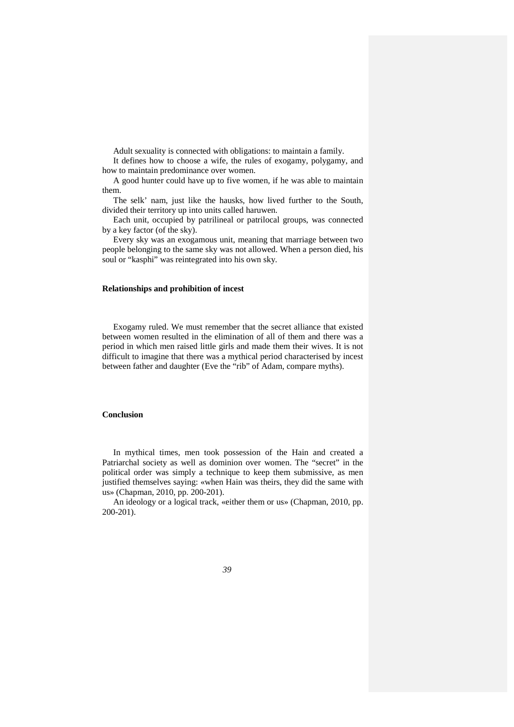Adult sexuality is connected with obligations: to maintain a family.

It defines how to choose a wife, the rules of exogamy, polygamy, and how to maintain predominance over women.

A good hunter could have up to five women, if he was able to maintain them.

The selk' nam, just like the hausks, how lived further to the South, divided their territory up into units called haruwen.

Each unit, occupied by patrilineal or patrilocal groups, was connected by a key factor (of the sky).

Every sky was an exogamous unit, meaning that marriage between two people belonging to the same sky was not allowed. When a person died, his soul or "kasphi" was reintegrated into his own sky.

## **Relationships and prohibition of incest**

Exogamy ruled. We must remember that the secret alliance that existed between women resulted in the elimination of all of them and there was a period in which men raised little girls and made them their wives. It is not difficult to imagine that there was a mythical period characterised by incest between father and daughter (Eve the "rib" of Adam, compare myths).

## **Conclusion**

In mythical times, men took possession of the Hain and created a Patriarchal society as well as dominion over women. The "secret" in the political order was simply a technique to keep them submissive, as men justified themselves saying: «when Hain was theirs, they did the same with us» (Chapman, 2010, pp. 200-201).

An ideology or a logical track, «either them or us» (Chapman, 2010, pp. 200-201).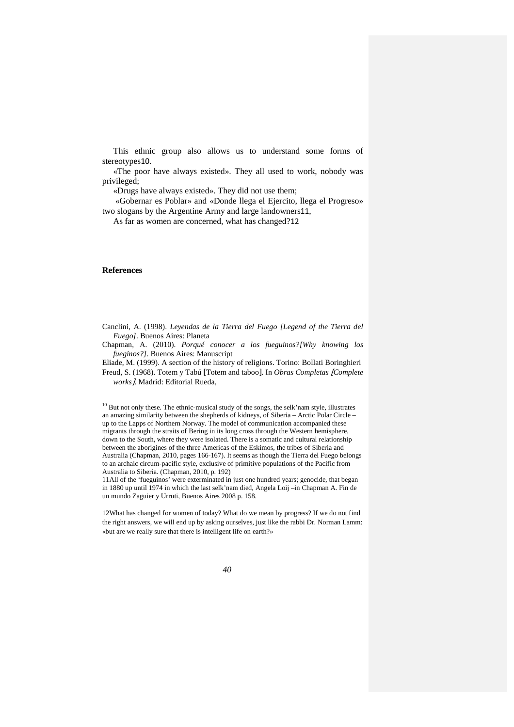This ethnic group also allows us to understand some forms of stereotypes10.

«The poor have always existed». They all used to work, nobody was privileged;

«Drugs have always existed». They did not use them;

 «Gobernar es Poblar» and «Donde llega el Ejercito, llega el Progreso» two slogans by the Argentine Army and large landowners11,

As far as women are concerned, what has changed?12

## **References**

Canclini, A. (1998). *Leyendas de la Tierra del Fuego [Legend of the Tierra del Fuego]*. Buenos Aires: Planeta

Chapman, A. (2010). *Porqué conocer a los fueguinos?[Why knowing los fueginos?]*. Buenos Aires: Manuscript

Eliade, M. (1999). A section of the history of religions. Torino: Bollati Boringhieri Freud, S. (1968). Totem y Tabú [Totem and taboo]. In *Obras Completas* [*Complete* 

*works*]. Madrid: Editorial Rueda,

 $10$  But not only these. The ethnic-musical study of the songs, the selk'nam style, illustrates an amazing similarity between the shepherds of kidneys, of Siberia – Arctic Polar Circle – up to the Lapps of Northern Norway. The model of communication accompanied these migrants through the straits of Bering in its long cross through the Western hemisphere, down to the South, where they were isolated. There is a somatic and cultural relationship between the aborigines of the three Americas of the Eskimos, the tribes of Siberia and Australia (Chapman, 2010, pages 166-167). It seems as though the Tierra del Fuego belongs to an archaic circum-pacific style, exclusive of primitive populations of the Pacific from Australia to Siberia. (Chapman, 2010, p. 192)

11All of the 'fueguinos' were exterminated in just one hundred years; genocide, that began in 1880 up until 1974 in which the last selk'nam died, Angela Loij –in Chapman A. Fin de un mundo Zaguier y Urruti, Buenos Aires 2008 p. 158.

12What has changed for women of today? What do we mean by progress? If we do not find the right answers, we will end up by asking ourselves, just like the rabbi Dr. Norman Lamm: «but are we really sure that there is intelligent life on earth?»